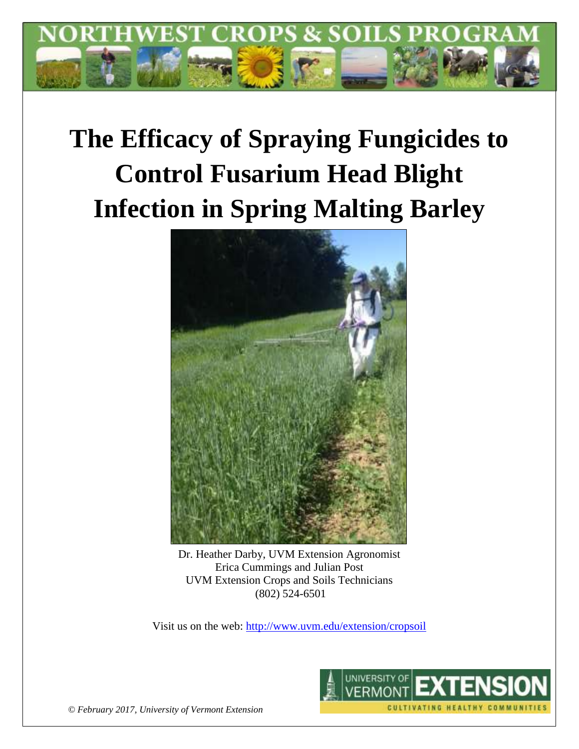

# **The Efficacy of Spraying Fungicides to Control Fusarium Head Blight Infection in Spring Malting Barley**



Dr. Heather Darby, UVM Extension Agronomist Erica Cummings and Julian Post UVM Extension Crops and Soils Technicians (802) 524-6501

Visit us on the web:<http://www.uvm.edu/extension/cropsoil>



*© February 2017, University of Vermont Extension*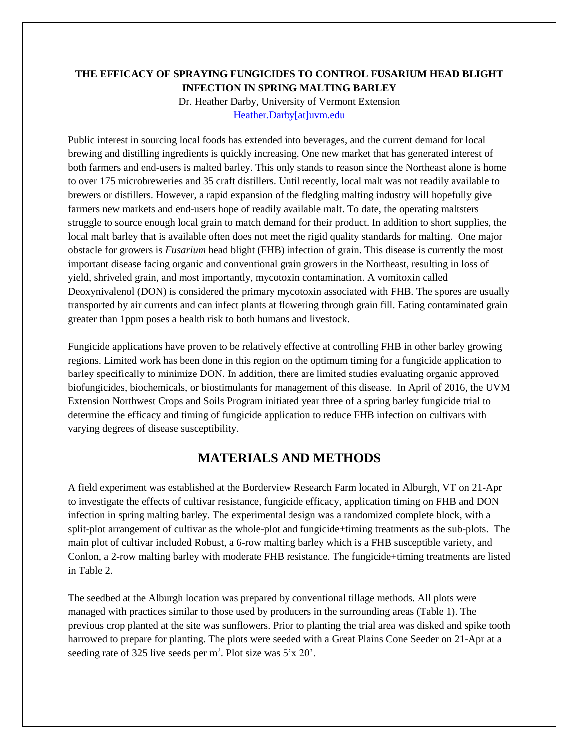### **THE EFFICACY OF SPRAYING FUNGICIDES TO CONTROL FUSARIUM HEAD BLIGHT INFECTION IN SPRING MALTING BARLEY**

Dr. Heather Darby, University of Vermont Extension [Heather.Darby\[at\]uvm.edu](mailto:Heather.Darby@uvm.edu)

Public interest in sourcing local foods has extended into beverages, and the current demand for local brewing and distilling ingredients is quickly increasing. One new market that has generated interest of both farmers and end-users is malted barley. This only stands to reason since the Northeast alone is home to over 175 microbreweries and 35 craft distillers. Until recently, local malt was not readily available to brewers or distillers. However, a rapid expansion of the fledgling malting industry will hopefully give farmers new markets and end-users hope of readily available malt. To date, the operating maltsters struggle to source enough local grain to match demand for their product. In addition to short supplies, the local malt barley that is available often does not meet the rigid quality standards for malting. One major obstacle for growers is *Fusarium* head blight (FHB) infection of grain. This disease is currently the most important disease facing organic and conventional grain growers in the Northeast, resulting in loss of yield, shriveled grain, and most importantly, mycotoxin contamination. A vomitoxin called Deoxynivalenol (DON) is considered the primary mycotoxin associated with FHB. The spores are usually transported by air currents and can infect plants at flowering through grain fill. Eating contaminated grain greater than 1ppm poses a health risk to both humans and livestock.

Fungicide applications have proven to be relatively effective at controlling FHB in other barley growing regions. Limited work has been done in this region on the optimum timing for a fungicide application to barley specifically to minimize DON. In addition, there are limited studies evaluating organic approved biofungicides, biochemicals, or biostimulants for management of this disease. In April of 2016, the UVM Extension Northwest Crops and Soils Program initiated year three of a spring barley fungicide trial to determine the efficacy and timing of fungicide application to reduce FHB infection on cultivars with varying degrees of disease susceptibility.

# **MATERIALS AND METHODS**

A field experiment was established at the Borderview Research Farm located in Alburgh, VT on 21-Apr to investigate the effects of cultivar resistance, fungicide efficacy, application timing on FHB and DON infection in spring malting barley. The experimental design was a randomized complete block, with a split-plot arrangement of cultivar as the whole-plot and fungicide+timing treatments as the sub-plots. The main plot of cultivar included Robust, a 6-row malting barley which is a FHB susceptible variety, and Conlon, a 2-row malting barley with moderate FHB resistance. The fungicide+timing treatments are listed in Table 2.

The seedbed at the Alburgh location was prepared by conventional tillage methods. All plots were managed with practices similar to those used by producers in the surrounding areas (Table 1). The previous crop planted at the site was sunflowers. Prior to planting the trial area was disked and spike tooth harrowed to prepare for planting. The plots were seeded with a Great Plains Cone Seeder on 21-Apr at a seeding rate of 325 live seeds per  $m^2$ . Plot size was  $5'x 20'$ .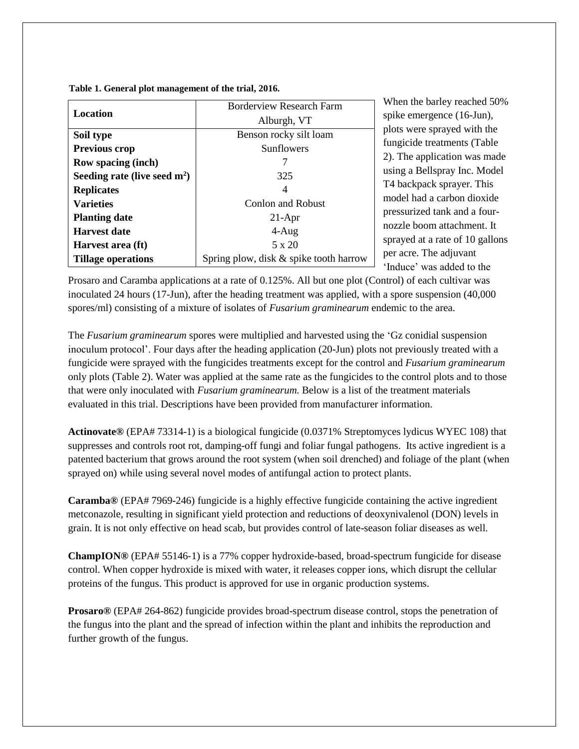**Table 1. General plot management of the trial, 2016.**

|                                | <b>Borderview Research Farm</b>        |  |  |
|--------------------------------|----------------------------------------|--|--|
| Location                       | Alburgh, VT                            |  |  |
| Soil type                      | Benson rocky silt loam                 |  |  |
| <b>Previous crop</b>           | <b>Sunflowers</b>                      |  |  |
| <b>Row spacing (inch)</b>      |                                        |  |  |
| Seeding rate (live seed $m2$ ) | 325                                    |  |  |
| <b>Replicates</b>              | 4                                      |  |  |
| <b>Varieties</b>               | <b>Conlon and Robust</b>               |  |  |
| <b>Planting date</b>           | $21-Apr$                               |  |  |
| <b>Harvest date</b>            | $4-Aug$                                |  |  |
| Harvest area (ft)              | $5 \times 20$                          |  |  |
| <b>Tillage operations</b>      | Spring plow, disk & spike tooth harrow |  |  |

When the barley reached 50% spike emergence (16-Jun), plots were sprayed with the fungicide treatments (Table 2). The application was made using a Bellspray Inc. Model T4 backpack sprayer. This model had a carbon dioxide pressurized tank and a fournozzle boom attachment. It sprayed at a rate of 10 gallons per acre. The adjuvant 'Induce' was added to the

Prosaro and Caramba applications at a rate of 0.125%. All but one plot (Control) of each cultivar was inoculated 24 hours (17-Jun), after the heading treatment was applied, with a spore suspension (40,000 spores/ml) consisting of a mixture of isolates of *Fusarium graminearum* endemic to the area.

The *Fusarium graminearum* spores were multiplied and harvested using the 'Gz conidial suspension inoculum protocol'. Four days after the heading application (20-Jun) plots not previously treated with a fungicide were sprayed with the fungicides treatments except for the control and *Fusarium graminearum* only plots (Table 2). Water was applied at the same rate as the fungicides to the control plots and to those that were only inoculated with *Fusarium graminearum.* Below is a list of the treatment materials evaluated in this trial. Descriptions have been provided from manufacturer information.

**Actinovate®** (EPA# 73314-1) is a biological fungicide (0.0371% Streptomyces lydicus WYEC 108) that suppresses and controls root rot, damping-off fungi and foliar fungal pathogens. Its active ingredient is a patented bacterium that grows around the root system (when soil drenched) and foliage of the plant (when sprayed on) while using several novel modes of antifungal action to protect plants.

**Caramba®** (EPA# 7969-246) fungicide is a highly effective fungicide containing the active ingredient metconazole, resulting in significant yield protection and reductions of deoxynivalenol (DON) levels in grain. It is not only effective on head scab, but provides control of late-season foliar diseases as well.

**ChampION®** (EPA# 55146‐1) is a 77% copper hydroxide-based, broad-spectrum fungicide for disease control. When copper hydroxide is mixed with water, it releases copper ions, which disrupt the cellular proteins of the fungus. This product is approved for use in organic production systems.

**Prosaro®** (EPA# 264-862) fungicide provides broad-spectrum disease control, stops the penetration of the fungus into the plant and the spread of infection within the plant and inhibits the reproduction and further growth of the fungus.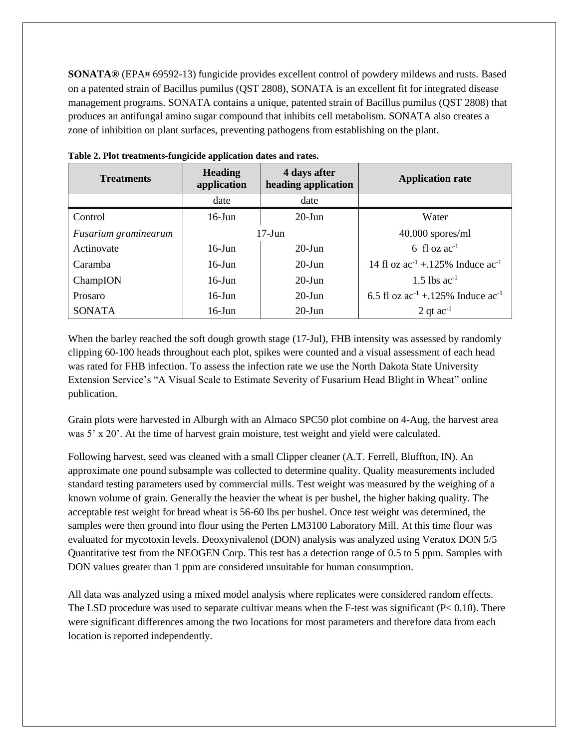**SONATA®** (EPA# 69592-13) fungicide provides excellent control of powdery mildews and rusts. Based on a patented strain of Bacillus pumilus (QST 2808), SONATA is an excellent fit for integrated disease management programs. SONATA contains a unique, patented strain of Bacillus pumilus (QST 2808) that produces an antifungal amino sugar compound that inhibits cell metabolism. SONATA also creates a zone of inhibition on plant surfaces, preventing pathogens from establishing on the plant.

| <b>Treatments</b>    | <b>Heading</b><br>4 days after<br>application<br>heading application |           | <b>Application rate</b>                     |
|----------------------|----------------------------------------------------------------------|-----------|---------------------------------------------|
|                      | date                                                                 | date      |                                             |
| Control              | $20$ -Jun<br>$16$ -Jun                                               |           | Water                                       |
| Fusarium graminearum | $17-J$ un                                                            |           | $40,000$ spores/ml                          |
| Actinovate           | $20$ -Jun<br>$16$ -Jun                                               |           | 6 fl oz $ac^{-1}$                           |
| Caramba              | $16$ -Jun                                                            | $20$ -Jun | 14 fl oz $ac^{-1}$ + 125% Induce $ac^{-1}$  |
| ChampION             | $20$ -Jun<br>$16$ -Jun                                               |           | 1.5 lbs $ac^{-1}$                           |
| Prosaro              | $16$ -Jun                                                            | $20$ -Jun | 6.5 fl oz $ac^{-1}$ + 125% Induce $ac^{-1}$ |
| <b>SONATA</b>        | $16$ -Jun                                                            | $20$ -Jun | 2 qt $ac^{-1}$                              |

**Table 2. Plot treatments-fungicide application dates and rates.**

When the barley reached the soft dough growth stage (17-Jul), FHB intensity was assessed by randomly clipping 60-100 heads throughout each plot, spikes were counted and a visual assessment of each head was rated for FHB infection. To assess the infection rate we use the North Dakota State University Extension Service's "A Visual Scale to Estimate Severity of Fusarium Head Blight in Wheat" online publication.

Grain plots were harvested in Alburgh with an Almaco SPC50 plot combine on 4-Aug, the harvest area was 5' x 20'. At the time of harvest grain moisture, test weight and yield were calculated.

Following harvest, seed was cleaned with a small Clipper cleaner (A.T. Ferrell, Bluffton, IN). An approximate one pound subsample was collected to determine quality. Quality measurements included standard testing parameters used by commercial mills. Test weight was measured by the weighing of a known volume of grain. Generally the heavier the wheat is per bushel, the higher baking quality. The acceptable test weight for bread wheat is 56-60 lbs per bushel. Once test weight was determined, the samples were then ground into flour using the Perten LM3100 Laboratory Mill. At this time flour was evaluated for mycotoxin levels. Deoxynivalenol (DON) analysis was analyzed using Veratox DON 5/5 Quantitative test from the NEOGEN Corp. This test has a detection range of 0.5 to 5 ppm. Samples with DON values greater than 1 ppm are considered unsuitable for human consumption.

All data was analyzed using a mixed model analysis where replicates were considered random effects. The LSD procedure was used to separate cultivar means when the F-test was significant  $(P< 0.10)$ . There were significant differences among the two locations for most parameters and therefore data from each location is reported independently.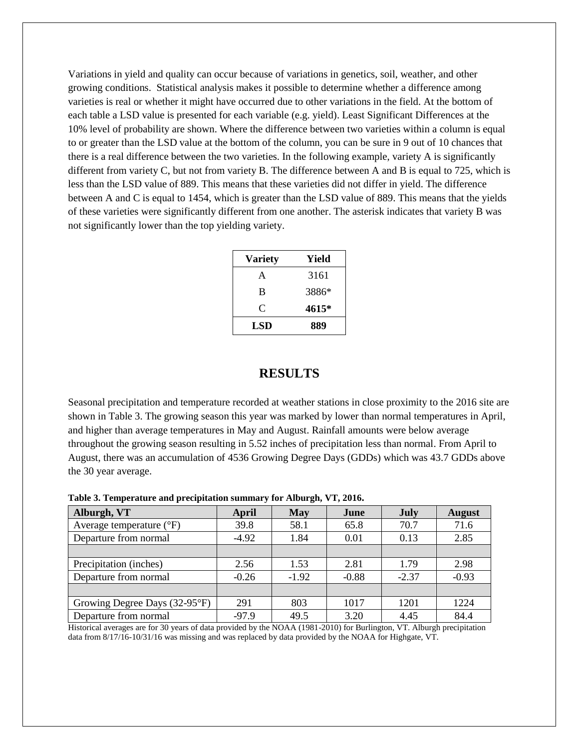Variations in yield and quality can occur because of variations in genetics, soil, weather, and other growing conditions. Statistical analysis makes it possible to determine whether a difference among varieties is real or whether it might have occurred due to other variations in the field. At the bottom of each table a LSD value is presented for each variable (e.g. yield). Least Significant Differences at the 10% level of probability are shown. Where the difference between two varieties within a column is equal to or greater than the LSD value at the bottom of the column, you can be sure in 9 out of 10 chances that there is a real difference between the two varieties. In the following example, variety A is significantly different from variety C, but not from variety B. The difference between A and B is equal to 725, which is less than the LSD value of 889. This means that these varieties did not differ in yield. The difference between A and C is equal to 1454, which is greater than the LSD value of 889. This means that the yields of these varieties were significantly different from one another. The asterisk indicates that variety B was not significantly lower than the top yielding variety.

| <b>Variety</b> | Yield |
|----------------|-------|
| A              | 3161  |
| B              | 3886* |
| C              | 4615* |
| LSD            | 889   |

### **RESULTS**

Seasonal precipitation and temperature recorded at weather stations in close proximity to the 2016 site are shown in Table 3. The growing season this year was marked by lower than normal temperatures in April, and higher than average temperatures in May and August. Rainfall amounts were below average throughout the growing season resulting in 5.52 inches of precipitation less than normal. From April to August, there was an accumulation of 4536 Growing Degree Days (GDDs) which was 43.7 GDDs above the 30 year average.

| Alburgh, VT                       | April   | May     | June    | July    | <b>August</b> |  |
|-----------------------------------|---------|---------|---------|---------|---------------|--|
| Average temperature $(^{\circ}F)$ | 39.8    | 58.1    | 65.8    | 70.7    | 71.6          |  |
| Departure from normal             | $-4.92$ | 1.84    | 0.01    | 0.13    | 2.85          |  |
|                                   |         |         |         |         |               |  |
| Precipitation (inches)            | 2.56    | 1.53    | 2.81    | 1.79    | 2.98          |  |
| Departure from normal             | $-0.26$ | $-1.92$ | $-0.88$ | $-2.37$ | $-0.93$       |  |
|                                   |         |         |         |         |               |  |
| Growing Degree Days (32-95°F)     | 291     | 803     | 1017    | 1201    | 1224          |  |
| Departure from normal             | $-97.9$ | 49.5    | 3.20    | 4.45    | 84.4          |  |

**Table 3. Temperature and precipitation summary for Alburgh, VT, 2016.**

Historical averages are for 30 years of data provided by the NOAA (1981-2010) for Burlington, VT. Alburgh precipitation data from 8/17/16-10/31/16 was missing and was replaced by data provided by the NOAA for Highgate, VT.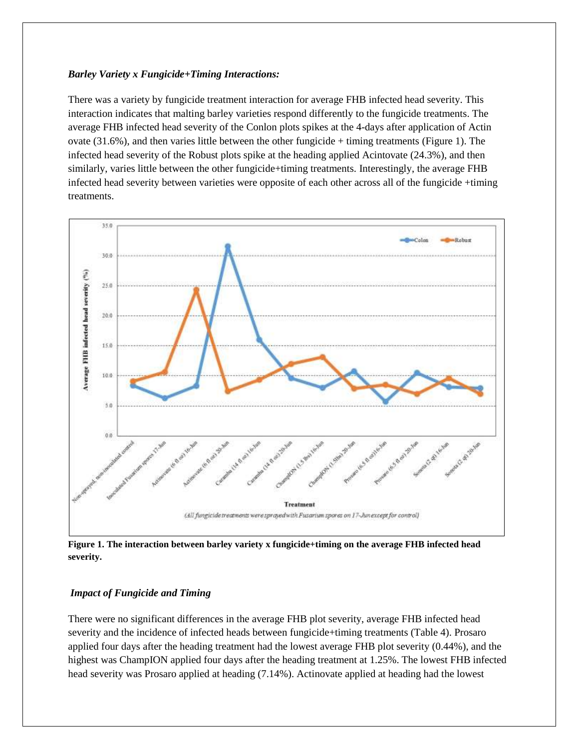#### *Barley Variety x Fungicide+Timing Interactions:*

There was a variety by fungicide treatment interaction for average FHB infected head severity. This interaction indicates that malting barley varieties respond differently to the fungicide treatments. The average FHB infected head severity of the Conlon plots spikes at the 4-days after application of Actin ovate  $(31.6\%)$ , and then varies little between the other fungicide + timing treatments (Figure 1). The infected head severity of the Robust plots spike at the heading applied Acintovate (24.3%), and then similarly, varies little between the other fungicide+timing treatments. Interestingly, the average FHB infected head severity between varieties were opposite of each other across all of the fungicide +timing treatments.



**Figure 1. The interaction between barley variety x fungicide+timing on the average FHB infected head severity.**

#### *Impact of Fungicide and Timing*

There were no significant differences in the average FHB plot severity, average FHB infected head severity and the incidence of infected heads between fungicide+timing treatments (Table 4). Prosaro applied four days after the heading treatment had the lowest average FHB plot severity (0.44%), and the highest was ChampION applied four days after the heading treatment at 1.25%. The lowest FHB infected head severity was Prosaro applied at heading (7.14%). Actinovate applied at heading had the lowest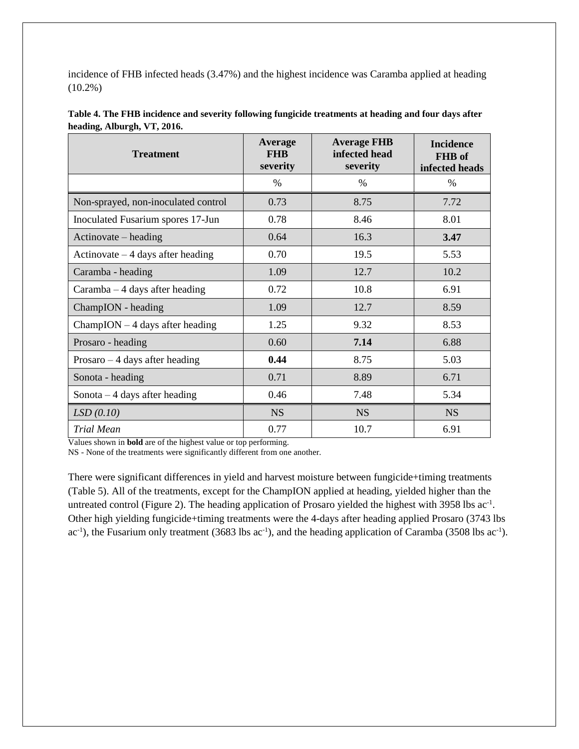incidence of FHB infected heads (3.47%) and the highest incidence was Caramba applied at heading (10.2%)

| <b>Treatment</b>                          | <b>Average</b><br><b>FHB</b><br>severity | <b>Average FHB</b><br>infected head<br>severity | <b>Incidence</b><br>FHB of<br>infected heads |
|-------------------------------------------|------------------------------------------|-------------------------------------------------|----------------------------------------------|
|                                           | $\%$                                     | $\%$                                            | $\%$                                         |
| Non-sprayed, non-inoculated control       | 0.73                                     | 8.75                                            | 7.72                                         |
| Inoculated Fusarium spores 17-Jun         | 0.78                                     | 8.46                                            | 8.01                                         |
| Actinovate – heading                      | 0.64                                     | 16.3                                            | 3.47                                         |
| Actinovate $-4$ days after heading        | 0.70                                     | 19.5                                            | 5.53                                         |
| Caramba - heading                         | 1.09                                     | 12.7                                            | 10.2                                         |
| $Caramba - 4 days$ after heading          | 0.72                                     | 10.8                                            | 6.91                                         |
| ChampION - heading                        | 1.09                                     | 12.7                                            | 8.59                                         |
| $ChampION - 4 \text{ days after heading}$ | 1.25                                     | 9.32                                            | 8.53                                         |
| Prosaro - heading                         | 0.60                                     | 7.14                                            | 6.88                                         |
| $Prosaro - 4 days$ after heading          | 0.44                                     | 8.75                                            | 5.03                                         |
| Sonota - heading                          | 0.71                                     | 8.89                                            | 6.71                                         |
| Sonota $-4$ days after heading            | 0.46                                     | 7.48                                            | 5.34                                         |
| LSD(0.10)                                 | <b>NS</b>                                | <b>NS</b>                                       | <b>NS</b>                                    |
| <b>Trial Mean</b>                         | 0.77                                     | 10.7                                            | 6.91                                         |

| Table 4. The FHB incidence and severity following fungicide treatments at heading and four days after |  |
|-------------------------------------------------------------------------------------------------------|--|
| heading, Alburgh, VT, 2016.                                                                           |  |

Values shown in **bold** are of the highest value or top performing.

NS - None of the treatments were significantly different from one another.

There were significant differences in yield and harvest moisture between fungicide+timing treatments (Table 5). All of the treatments, except for the ChampION applied at heading, yielded higher than the untreated control (Figure 2). The heading application of Prosaro yielded the highest with 3958 lbs  $ac<sup>-1</sup>$ . Other high yielding fungicide+timing treatments were the 4-days after heading applied Prosaro (3743 lbs  $ac^{-1}$ ), the Fusarium only treatment (3683 lbs  $ac^{-1}$ ), and the heading application of Caramba (3508 lbs  $ac^{-1}$ ).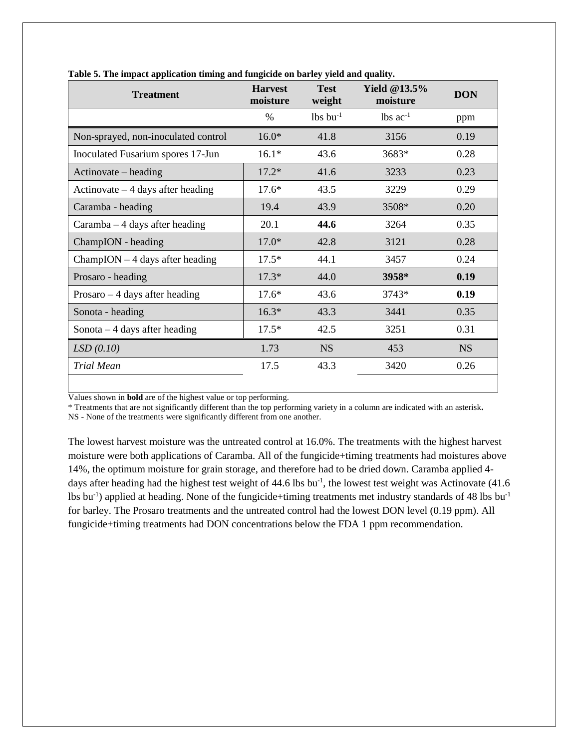| <b>Treatment</b>                          | <b>Harvest</b><br>moisture | <b>Test</b><br>weight  | Yield @13.5%<br>moisture | <b>DON</b> |
|-------------------------------------------|----------------------------|------------------------|--------------------------|------------|
|                                           | $\frac{0}{0}$              | $lbs$ bu <sup>-1</sup> | $lbs$ ac <sup>-1</sup>   | ppm        |
| Non-sprayed, non-inoculated control       | $16.0*$                    | 41.8                   | 3156                     | 0.19       |
| Inoculated Fusarium spores 17-Jun         | $16.1*$                    | 43.6                   | 3683*                    | 0.28       |
| Actinovate – heading                      | $17.2*$                    | 41.6                   | 3233                     | 0.23       |
| Actinovate $-4$ days after heading        | $17.6*$                    | 43.5                   | 3229                     | 0.29       |
| Caramba - heading                         | 19.4                       | 43.9                   | 3508*                    | 0.20       |
| $Caramba - 4 days$ after heading          | 20.1                       | 44.6                   | 3264                     | 0.35       |
| ChampION - heading                        | $17.0*$                    | 42.8                   | 3121                     | 0.28       |
| $ChampION - 4 \text{ days after heading}$ | $17.5*$                    | 44.1                   | 3457                     | 0.24       |
| Prosaro - heading                         | $17.3*$                    | 44.0                   | 3958*                    | 0.19       |
| $Prosaro - 4 days$ after heading          | $17.6*$                    | 43.6                   | $3743*$                  | 0.19       |
| Sonota - heading                          | $16.3*$                    | 43.3                   | 3441                     | 0.35       |
| Sonota $-4$ days after heading            | $17.5*$                    | 42.5                   | 3251                     | 0.31       |
| LSD(0.10)                                 | 1.73                       | <b>NS</b>              | 453                      | <b>NS</b>  |
| <b>Trial Mean</b>                         | 17.5                       | 43.3                   | 3420                     | 0.26       |

**Table 5. The impact application timing and fungicide on barley yield and quality.**

Values shown in **bold** are of the highest value or top performing.

\* Treatments that are not significantly different than the top performing variety in a column are indicated with an asterisk**.**

NS - None of the treatments were significantly different from one another.

The lowest harvest moisture was the untreated control at 16.0%. The treatments with the highest harvest moisture were both applications of Caramba. All of the fungicide+timing treatments had moistures above 14%, the optimum moisture for grain storage, and therefore had to be dried down. Caramba applied 4 days after heading had the highest test weight of 44.6 lbs bu<sup>-1</sup>, the lowest test weight was Actinovate (41.6) lbs bu<sup>-1</sup>) applied at heading. None of the fungicide+timing treatments met industry standards of 48 lbs bu<sup>-1</sup> for barley. The Prosaro treatments and the untreated control had the lowest DON level (0.19 ppm). All fungicide+timing treatments had DON concentrations below the FDA 1 ppm recommendation.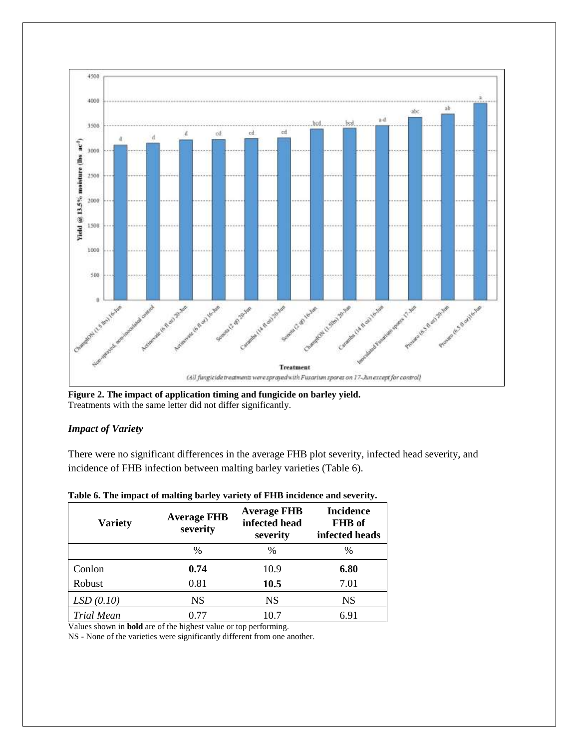

**Figure 2. The impact of application timing and fungicide on barley yield.** Treatments with the same letter did not differ significantly.

### *Impact of Variety*

There were no significant differences in the average FHB plot severity, infected head severity, and incidence of FHB infection between malting barley varieties (Table 6).

| <b>Average FHB</b><br><b>Variety</b><br>severity |               | <b>Average FHB</b><br>infected head<br>severity | <b>Incidence</b><br>FHB of<br>infected heads |  |
|--------------------------------------------------|---------------|-------------------------------------------------|----------------------------------------------|--|
|                                                  | $\frac{0}{0}$ | $\frac{0}{0}$                                   | $\%$                                         |  |
| Conlon                                           | 0.74          | 10.9                                            | 6.80                                         |  |
| Robust                                           | 0.81          | 10.5                                            | 7.01                                         |  |
| LSD(0.10)                                        | <b>NS</b>     | NS                                              | NS                                           |  |
| <b>Trial Mean</b>                                | 0.77          | 10.7                                            | 6.91                                         |  |

#### **Table 6. The impact of malting barley variety of FHB incidence and severity.**

Values shown in **bold** are of the highest value or top performing.

NS - None of the varieties were significantly different from one another.